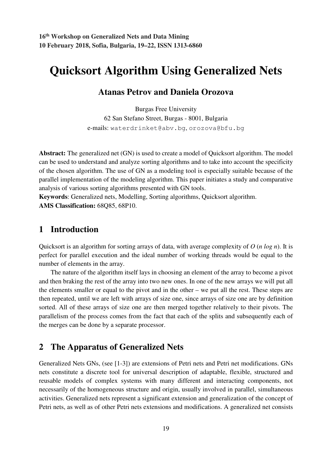# **Quicksort Algorithm Using Generalized Nets**

### **Atanas Petrov and Daniela Orozova**

Burgas Free University 62 San Stefano Street, Burgas - 8001, Bulgaria e-mails: waterdrinket@abv.bg, orozova@bfu.bg

**Abstract:** The generalized net (GN) is used to create a model of Quicksort algorithm. The model can be used to understand and analyze sorting algorithms and to take into account the specificity of the chosen algorithm. The use of GN as a modeling tool is especially suitable because of the parallel implementation of the modeling algorithm. This paper initiates a study and comparative analysis of various sorting algorithms presented with GN tools.

**Keywords**: Generalized nets, Modelling, Sorting algorithms, Quicksort algorithm. **AMS Classification:** 68Q85, 68P10.

## **1 Introduction**

Quicksort is an algorithm for sorting arrays of data, with average complexity of *O* (*n log n*). It is perfect for parallel execution and the ideal number of working threads would be equal to the number of elements in the array.

The nature of the algorithm itself lays in choosing an element of the array to become a pivot and then braking the rest of the array into two new ones. In one of the new arrays we will put all the elements smaller or equal to the pivot and in the other – we put all the rest. These steps are then repeated, until we are left with arrays of size one, since arrays of size one are by definition sorted. All of these arrays of size one are then merged together relatively to their pivots. The parallelism of the process comes from the fact that each of the splits and subsequently each of the merges can be done by a separate processor.

## **2 The Apparatus of Generalized Nets**

Generalized Nets GNs, (see [1-3]) are extensions of Petri nets and Petri net modifications. GNs nets constitute a discrete tool for universal description of adaptable, flexible, structured and reusable models of complex systems with many different and interacting components, not necessarily of the homogeneous structure and origin, usually involved in parallel, simultaneous activities. Generalized nets represent a significant extension and generalization of the concept of Petri nets, as well as of other Petri nets extensions and modifications. A generalized net consists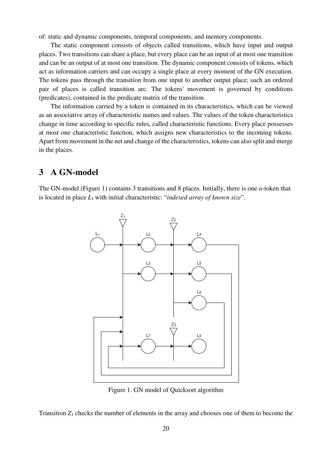of: static and dynamic components, temporal components, and memory components.

The static component consists of objects called transitions, which have input and output places. Two transitions can share a place, but every place can be an input of at most one transition and can be an output of at most one transition. The dynamic component consists of tokens, which act as information carriers and can occupy a single place at every moment of the GN execution. The tokens pass through the transition from one input to another output place; such an ordered pair of places is called transition arc. The tokens' movement is governed by conditions (predicates), contained in the predicate matrix of the transition.

The information carried by a token is contained in its characteristics, which can be viewed as an associative array of characteristic names and values. The values of the token characteristics change in time according to specific rules, called characteristic functions. Every place possesses at most one characteristic function, which assigns new characteristics to the incoming tokens. Apart from movement in the net and change of the characteristics, tokens can also split and merge in the places.

#### **3 A GN-model**

The GN-model (Figure 1) contains 3 transitions and 8 places. Initially, there is one  $\alpha$ -token that is located in place *L*<sup>1</sup> with initial characteristic: "*indexed array of known size*".



Figure 1. GN model of Quicksort algorithm

Transition *Z*1 checks the number of elements in the array and chooses one of them to become the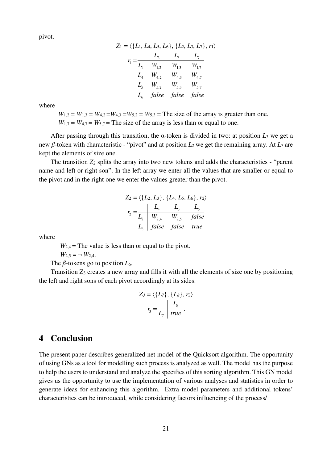pivot.

$$
Z_1 = \langle \{L_1, L_4, L_5, L_6\}, \{L_2, L_3, L_7\}, r_1 \rangle
$$
  
\n
$$
r_1 = \frac{L_2}{L_1} \frac{L_3}{W_{1,2}} \frac{L_3}{W_{1,3}} \frac{L_7}{W_{1,7}}
$$
  
\n
$$
L_4 \begin{bmatrix} W_{4,2} & W_{4,3} & W_{4,7} \\ W_{5,2} & W_{5,3} & W_{5,7} \\ L_6 & false & false & false \end{bmatrix}
$$

where

 $W_{1,2} = W_{1,3} = W_{4,2} = W_{4,3} = W_{5,2} = W_{5,3}$  = The size of the array is greater than one.  $W_{1,7} = W_{4,7} = W_{5,7} =$ The size of the array is less than or equal to one.

After passing through this transition, the α-token is divided in two: at position *L*3 we get a new β-token with characteristic - "pivot" and at position *L*2 we get the remaining array. At *L*7 are kept the elements of size one.

The transition  $Z_2$  splits the array into two new tokens and adds the characteristics - "parent" name and left or right son". In the left array we enter all the values that are smaller or equal to the pivot and in the right one we enter the values greater than the pivot.

$$
Z_2 = \langle \{L_2, L_3\}, \{L_4, L_5, L_6\}, r_2 \rangle
$$
  

$$
r_2 = \frac{L_4}{L_2} \frac{L_5}{W_{2,4}} \frac{L_6}{W_{2,5}} \frac{I_6}{false}
$$
  

$$
L_3 \int false \text{ false} true
$$

where

 $W_{2,4}$  = The value is less than or equal to the pivot.

$$
W_{2,5} = - W_{2,4}.
$$

The  $\beta$ -tokens go to position  $L_6$ .

Transition  $Z_3$  creates a new array and fills it with all the elements of size one by positioning the left and right sons of each pivot accordingly at its sides.

$$
Z_3 = \langle \{L_7\}, \{L_8\}, r_3 \rangle
$$

$$
r_3 = \frac{L_8}{L_7 \text{ true}}
$$

#### **4 Conclusion**

The present paper describes generalized net model of the Quicksort algorithm. The opportunity of using GNs as a tool for modelling such process is analyzed as well. The model has the purpose to help the users to understand and analyze the specifics of this sorting algorithm. This GN model gives us the opportunity to use the implementation of various analyses and statistics in order to generate ideas for enhancing this algorithm. Extra model parameters and additional tokens' characteristics can be introduced, while considering factors influencing of the process/